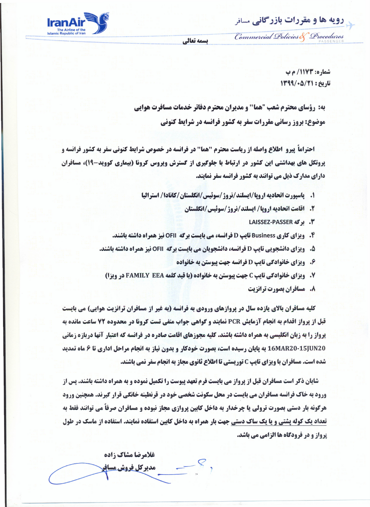**رویه ها و مقررات بازرگانی مسافر** 

Commercial Policies & Procedures



r-- --

يسمه تعالى

**شماره: 1173/ م ب** تاريخ: 13/4/06/13

**به: رؤسای محترم شعب "هما'' و مدیران محترم دفاتر خدمات مسافرت هوایی وضوع: بروز رسانی مقررات سفر به کشور فرانسه در شرایط کنونی** 

**احتراماً پیرو اطلاع واصله از ریاست محترم "هما" در فرانسه در خصوص شرایط کنونی سفر به کشور فرانسه و پروتکل های بهداشتی این کشور در ارتباط با جلوگیری از گسترش ویروس کرونا (بیماری کووید-۱۹)، مسافران دارای مدارک ذیل می توانند به کشور فرانسه سفر نمایند.** 

- 1. \_ ياسيورت اتحاديه ارويا/ايسلند/نروژ/سوئيس/انگلستان/كانادا/ استراليا
	- **2. اقامت اتحادیه اروپا/ ایسلند/نروژ/سوئیس/انگلستان** 
		- **LAISSEZ-PASSER 45**. بوگه
- **4. ویزای کاری Business تایپ D فرانسه، می بایست برگه OFII نیز همراه داشته باشند.**
- 5. \_ ويزاي دانشجويي تايپ D فرانسه، دانشجويان مي بايست برگه OFII نيز همراه داشته باشند.
	- **۶. ویزای خانوادگی تایپ D فرانسه جهت پیوستن به خانواده**
	- **7. ویزای خانوادگی تایپ C جهت پیوستن به خانواده (با قید کلمه FAMILY EEA در ویزا)** 
		- **8. مسافران بصورت ترانزیت**

**كليه مسافران بالاي يازده سال در پروازهاي ورودي به فرانسه (به غير از مسافران ترانزيت هوايي) مي بايست** قبل از پرواز اقدام به انجام آزمایش PCR نمایند و گواهی جواب منفی تست کرونا در محدوده 72 ساعت مانده به **یرواز را به زبان انگلیسی به همراه داشته باشند. کلیه مجوزهای اقامت صادره در فرانسه که اعتبار آنها دربازه زمانی** 16MAR20-15JUN20 به پایان رسیده است، بصورت خودکار و بدون نیاز به انجام مراحل اداری تا ۶ ماه تمدید شده است. مسافران با ویزای تایپ C توریستی تا اطلاع ثانوی مجاز به انجام سفر نمی باشند.

**شایان ذکر است مسافران قبل از پرواز می بایست فرم تعهد پیوست را تکمیل نموده و به همراه داشته باشند. پس از ورود به خاک فرانسه مسافران می بایست در محل سکونت شخصی خود در قرنطینه خانگی قرار گیرند. همچنین ورود هرگونه بار دستی بصورت ترولی یا چرخدار به داخل کابین پروازی مجاز نبوده و مسافران صرفاً می توانند فقط به تعداد یک کوله پشتی و یا یک ساک دستی جهت بار همراه به داخل کابین استفاده نمایند. استفاده از ماسک در طول یرواز و در فرودگاه ها الزامی می باشد.** 

غلامرضا مشاك زاده **مدیرکل فروش مسافر**<br>--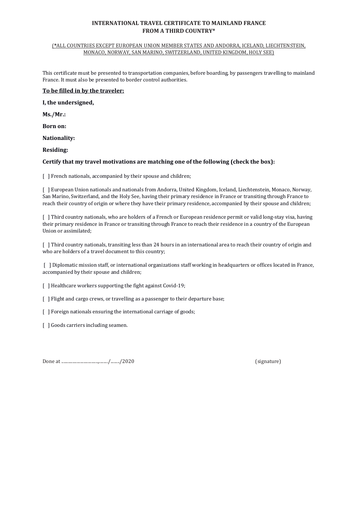## **INTERNATIONAL TRAVEL CERTIFICATE TO MAINLAND FRANCE FROM A THIRD COUNTRY\***

#### (**\***ALL COUNTRIES EXCEPT EUROPEAN UNION MEMBER STATES AND ANDORRA, ICELAND, LIECHTENSTEIN, MONACO, NORWAY, SAN MARINO, SWITZERLAND, UNITED KINGDOM, HOLY SEE)

This certificate must be presented to transportation companies, before boarding, by passengers travelling to mainland France. It must also be presented to border control authorities.

## **To be filled in by the traveler:**

**I, the undersigned,**

**Ms./Mr.:**

**Born on:**

**Nationality:**

**Residing:**

## **Certify that my travel motivations are matching one of the following (check the box):**

[ ] French nationals, accompanied by their spouse and children;

[ ] European Union nationals and nationals from Andorra, United Kingdom, Iceland, Liechtenstein, Monaco, Norway, San Marino, Switzerland, and the Holy See, having their primary residence in France or transiting through France to reach their country of origin or where they have their primary residence, accompanied by their spouse and children;

[ ] Third country nationals, who are holders of a French or European residence permit or valid long-stay visa, having their primary residence in France or transiting through France to reach their residence in a country of the European Union or assimilated;

[ ] Third country nationals, transiting less than 24 hours in an international area to reach their country of origin and who are holders of a travel document to this country;

[ ] Diplomatic mission staff, or international organizations staff working in headquarters or offices located in France, accompanied by their spouse and children;

[ ] Healthcare workers supporting the fight against Covid-19;

[ ] Flight and cargo crews, or travelling as a passenger to their departure base;

[ ] Foreign nationals ensuring the international carriage of goods;

[ ] Goods carriers including seamen.

Done at .................................,......../......../2020 (signature)